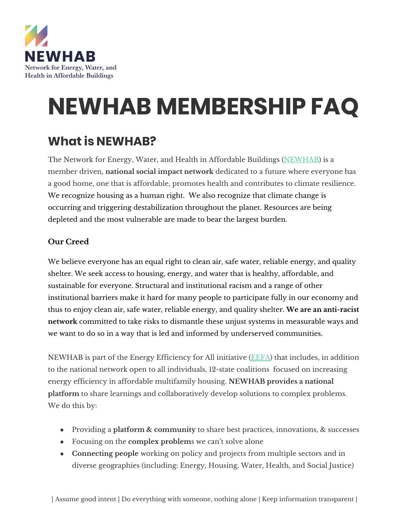

# **NEWHAB MEMBERSHIP FAQ**

## **What is NEWHAB?**

The Network for Energy, Water, and Health in Affordable Buildings [\(NEWHAB](https://www.energyefficiencyforall.org/initiatives/newhab/)) is a member driven, **national social impact network** dedicated to a future where everyone has a good home, one that is affordable, promotes health and contributes to climate resilience. We recognize housing as a human right. We also recognize that climate change is occurring and triggering destabilization throughout the planet. Resources are being depleted and the most vulnerable are made to bear the largest burden.

#### **Our Creed**

We believe everyone has an equal right to clean air, safe water, reliable energy, and quality shelter. We seek access to housing, energy, and water that is healthy, affordable, and sustainable for everyone. Structural and institutional racism and a range of other institutional barriers make it hard for many people to participate fully in our economy and thus to enjoy clean air, safe water, reliable energy, and quality shelter. **We are an anti-racist network** committed to take risks to dismantle these unjust systems in measurable ways and we want to do so in a way that is led and informed by underserved communities.

NEWHAB is part of the Energy Efficiency for All initiative [\(EEFA\)](https://www.energyefficiencyforall.org/) that includes, in addition to the national network open to all individuals, 12-state coalitions focused on increasing energy efficiency in affordable multifamily housing. **NEWHAB provides a national platform** to share learnings and collaboratively develop solutions to complex problems. We do this by:

- Providing a **platform & community** to share best practices, innovations, & successes
- Focusing on the **complex problem**s we can't solve alone
- **Connecting people** working on policy and projects from multiple sectors and in diverse geographies (including: Energy, Housing, Water, Health, and Social Justice)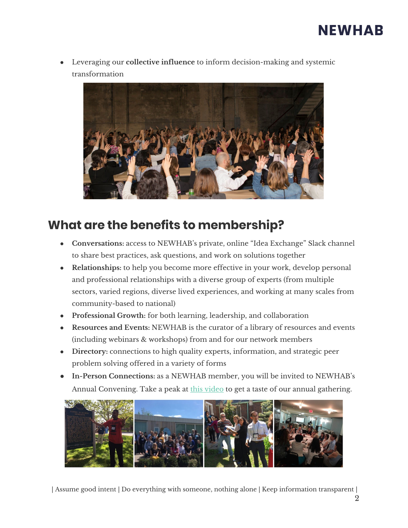## **NEWHAB**

Leveraging our **collective influence** to inform decision-making and systemic transformation



### **What are the benefits to membership?**

- **Conversations:** access to NEWHAB's private, online "Idea Exchange" Slack channel to share best practices, ask questions, and work on solutions together
- **Relationships:** to help you become more effective in your work, develop personal and professional relationships with a diverse group of experts (from multiple sectors, varied regions, diverse lived experiences, and working at many scales from community-based to national)
- **Professional Growth:** for both learning, leadership, and collaboration
- **● Resources and Events:** NEWHAB is the curator of a library of resources and events (including webinars & workshops) from and for our network members
- Directory: connections to high quality experts, information, and strategic peer problem solving offered in a variety of forms
- **● In-Person Connections:** as a NEWHAB member, you will be invited to NEWHAB's Annual Convening. Take a peak at this [video](https://vimeo.com/user4644823/review/410246678/f75f037b83) to get a taste of our annual gathering.



| Assume good intent | Do everything with someone, nothing alone | Keep information transparent |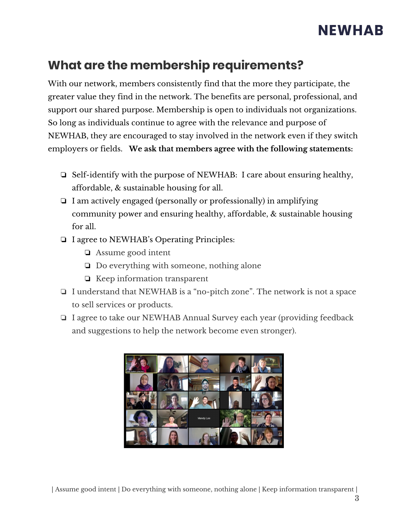## **NEWHAB**

## **What are the membership requirements?**

With our network, members consistently find that the more they participate, the greater value they find in the network. The benefits are personal, professional, and support our shared purpose. Membership is open to individuals not organizations. So long as individuals continue to agree with the relevance and purpose of NEWHAB, they are encouraged to stay involved in the network even if they switch employers or fields. **We ask that members agree with the following statements:**

- ❏ Self-identify with the purpose of NEWHAB: I care about ensuring healthy, affordable, & sustainable housing for all.
- ❏ I am actively engaged (personally or professionally) in amplifying community power and ensuring healthy, affordable, & sustainable housing for all.
- ❏ I agree to NEWHAB's Operating Principles:
	- ❏ Assume good intent
	- ❏ Do everything with someone, nothing alone
	- ❏ Keep information transparent
- ❏ I understand that NEWHAB is a "no-pitch zone". The network is not a space to sell services or products.
- ❏ I agree to take our NEWHAB Annual Survey each year (providing feedback and suggestions to help the network become even stronger).



| Assume good intent | Do everything with someone, nothing alone | Keep information transparent |